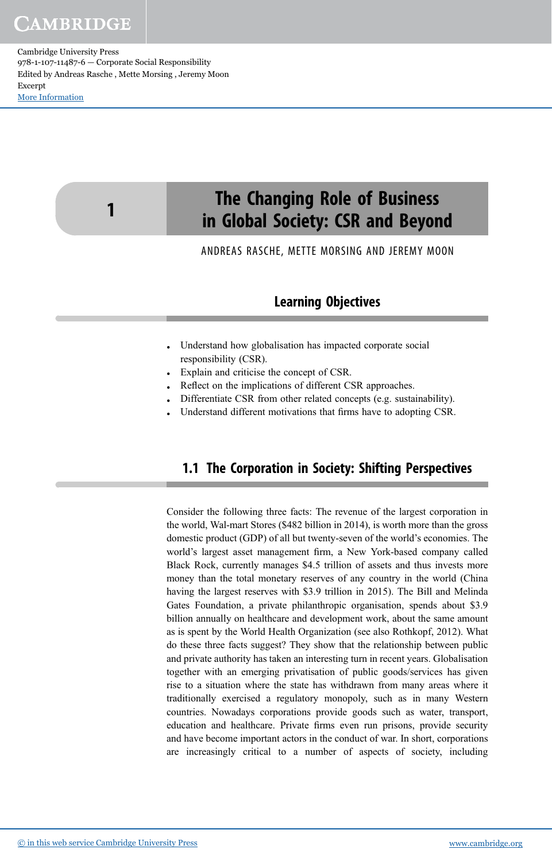Cambridge University Press 978-1-107-11487-6 — Corporate Social Responsibility Edited by Andreas Rasche , Mette Morsing , Jeremy Moon Excerpt [More Information](www.cambridge.org/9781107114876)

1



ANDREAS RASCHE, METTE MORSING AND JEREMY MOON

### Learning Objectives

- Understand how globalisation has impacted corporate social responsibility (CSR).
- Explain and criticise the concept of CSR.
- Reflect on the implications of different CSR approaches.
- Differentiate CSR from other related concepts (e.g. sustainability).
- Understand different motivations that firms have to adopting CSR.

### 1.1 The Corporation in Society: Shifting Perspectives

Consider the following three facts: The revenue of the largest corporation in the world, Wal-mart Stores (\$482 billion in 2014), is worth more than the gross domestic product (GDP) of all but twenty-seven of the world's economies. The world's largest asset management firm, a New York-based company called Black Rock, currently manages \$4.5 trillion of assets and thus invests more money than the total monetary reserves of any country in the world (China having the largest reserves with \$3.9 trillion in 2015). The Bill and Melinda Gates Foundation, a private philanthropic organisation, spends about \$3.9 billion annually on healthcare and development work, about the same amount as is spent by the World Health Organization (see also Rothkopf, 2012). What do these three facts suggest? They show that the relationship between public and private authority has taken an interesting turn in recent years. Globalisation together with an emerging privatisation of public goods/services has given rise to a situation where the state has withdrawn from many areas where it traditionally exercised a regulatory monopoly, such as in many Western countries. Nowadays corporations provide goods such as water, transport, education and healthcare. Private firms even run prisons, provide security and have become important actors in the conduct of war. In short, corporations are increasingly critical to a number of aspects of society, including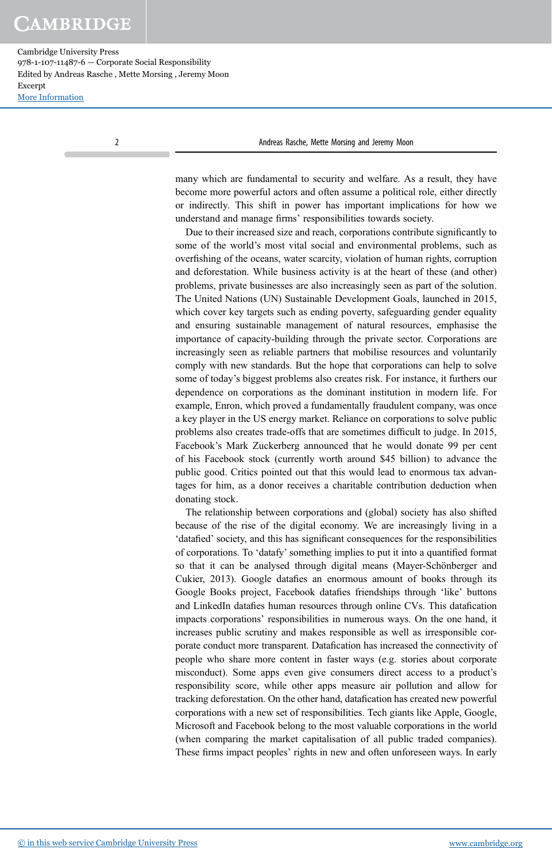Cambridge University Press 978-1-107-11487-6 — Corporate Social Responsibility Edited by Andreas Rasche , Mette Morsing , Jeremy Moon Excerpt [More Information](www.cambridge.org/9781107114876)

2 Andreas Rasche, Mette Morsing and Jeremy Moon

many which are fundamental to security and welfare. As a result, they have become more powerful actors and often assume a political role, either directly or indirectly. This shift in power has important implications for how we understand and manage firms' responsibilities towards society.

Due to their increased size and reach, corporations contribute significantly to some of the world's most vital social and environmental problems, such as overfishing of the oceans, water scarcity, violation of human rights, corruption and deforestation. While business activity is at the heart of these (and other) problems, private businesses are also increasingly seen as part of the solution. The United Nations (UN) Sustainable Development Goals, launched in 2015, which cover key targets such as ending poverty, safeguarding gender equality and ensuring sustainable management of natural resources, emphasise the importance of capacity-building through the private sector. Corporations are increasingly seen as reliable partners that mobilise resources and voluntarily comply with new standards. But the hope that corporations can help to solve some of today's biggest problems also creates risk. For instance, it furthers our dependence on corporations as the dominant institution in modern life. For example, Enron, which proved a fundamentally fraudulent company, was once a key player in the US energy market. Reliance on corporations to solve public problems also creates trade-offs that are sometimes difficult to judge. In 2015, Facebook's Mark Zuckerberg announced that he would donate 99 per cent of his Facebook stock (currently worth around \$45 billion) to advance the public good. Critics pointed out that this would lead to enormous tax advantages for him, as a donor receives a charitable contribution deduction when donating stock.

The relationship between corporations and (global) society has also shifted because of the rise of the digital economy. We are increasingly living in a 'datafied' society, and this has significant consequences for the responsibilities of corporations. To 'datafy' something implies to put it into a quantified format so that it can be analysed through digital means (Mayer-Schönberger and Cukier, 2013). Google datafies an enormous amount of books through its Google Books project, Facebook datafies friendships through 'like' buttons and LinkedIn datafies human resources through online CVs. This datafication impacts corporations' responsibilities in numerous ways. On the one hand, it increases public scrutiny and makes responsible as well as irresponsible corporate conduct more transparent. Datafication has increased the connectivity of people who share more content in faster ways (e.g. stories about corporate misconduct). Some apps even give consumers direct access to a product's responsibility score, while other apps measure air pollution and allow for tracking deforestation. On the other hand, datafication has created new powerful corporations with a new set of responsibilities. Tech giants like Apple, Google, Microsoft and Facebook belong to the most valuable corporations in the world (when comparing the market capitalisation of all public traded companies). These firms impact peoples' rights in new and often unforeseen ways. In early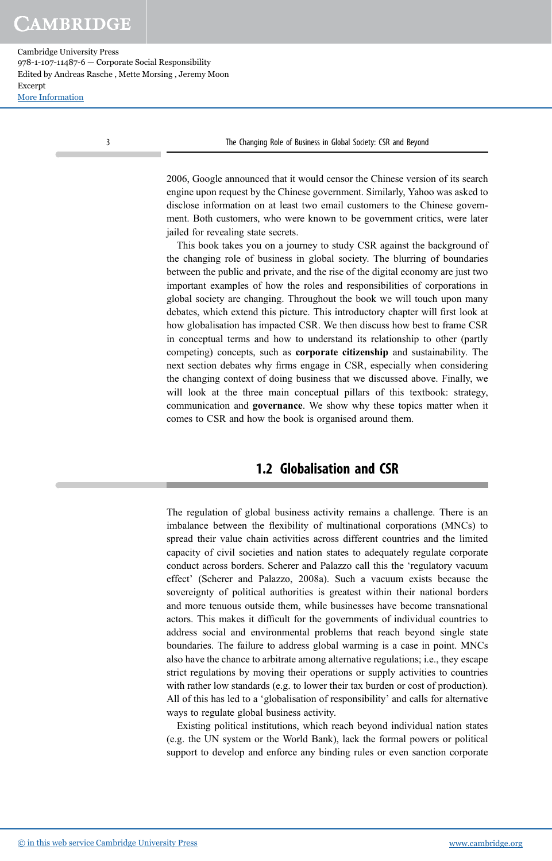Cambridge University Press 978-1-107-11487-6 — Corporate Social Responsibility Edited by Andreas Rasche , Mette Morsing , Jeremy Moon Excerpt [More Information](www.cambridge.org/9781107114876)

3 The Changing Role of Business in Global Society: CSR and Beyond

2006, Google announced that it would censor the Chinese version of its search engine upon request by the Chinese government. Similarly, Yahoo was asked to disclose information on at least two email customers to the Chinese government. Both customers, who were known to be government critics, were later jailed for revealing state secrets.

This book takes you on a journey to study CSR against the background of the changing role of business in global society. The blurring of boundaries between the public and private, and the rise of the digital economy are just two important examples of how the roles and responsibilities of corporations in global society are changing. Throughout the book we will touch upon many debates, which extend this picture. This introductory chapter will first look at how globalisation has impacted CSR. We then discuss how best to frame CSR in conceptual terms and how to understand its relationship to other (partly competing) concepts, such as corporate citizenship and sustainability. The next section debates why firms engage in CSR, especially when considering the changing context of doing business that we discussed above. Finally, we will look at the three main conceptual pillars of this textbook: strategy, communication and governance. We show why these topics matter when it comes to CSR and how the book is organised around them.

### 1.2 Globalisation and CSR

The regulation of global business activity remains a challenge. There is an imbalance between the flexibility of multinational corporations (MNCs) to spread their value chain activities across different countries and the limited capacity of civil societies and nation states to adequately regulate corporate conduct across borders. Scherer and Palazzo call this the 'regulatory vacuum effect' (Scherer and Palazzo, 2008a). Such a vacuum exists because the sovereignty of political authorities is greatest within their national borders and more tenuous outside them, while businesses have become transnational actors. This makes it difficult for the governments of individual countries to address social and environmental problems that reach beyond single state boundaries. The failure to address global warming is a case in point. MNCs also have the chance to arbitrate among alternative regulations; i.e., they escape strict regulations by moving their operations or supply activities to countries with rather low standards (e.g. to lower their tax burden or cost of production). All of this has led to a 'globalisation of responsibility' and calls for alternative ways to regulate global business activity.

Existing political institutions, which reach beyond individual nation states (e.g. the UN system or the World Bank), lack the formal powers or political support to develop and enforce any binding rules or even sanction corporate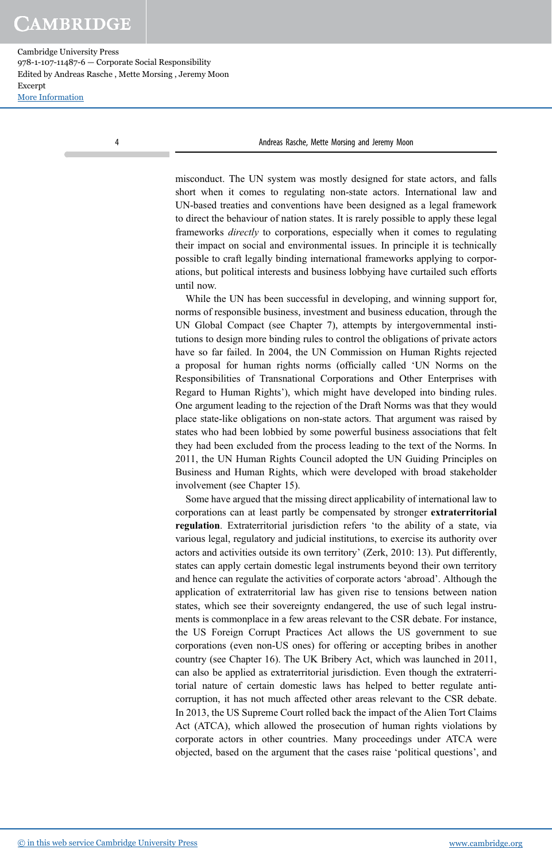Cambridge University Press 978-1-107-11487-6 — Corporate Social Responsibility Edited by Andreas Rasche , Mette Morsing , Jeremy Moon Excerpt [More Information](www.cambridge.org/9781107114876)

4 Andreas Rasche, Mette Morsing and Jeremy Moon

misconduct. The UN system was mostly designed for state actors, and falls short when it comes to regulating non-state actors. International law and UN-based treaties and conventions have been designed as a legal framework to direct the behaviour of nation states. It is rarely possible to apply these legal frameworks directly to corporations, especially when it comes to regulating their impact on social and environmental issues. In principle it is technically possible to craft legally binding international frameworks applying to corporations, but political interests and business lobbying have curtailed such efforts until now.

While the UN has been successful in developing, and winning support for, norms of responsible business, investment and business education, through the UN Global Compact (see Chapter 7), attempts by intergovernmental institutions to design more binding rules to control the obligations of private actors have so far failed. In 2004, the UN Commission on Human Rights rejected a proposal for human rights norms (officially called 'UN Norms on the Responsibilities of Transnational Corporations and Other Enterprises with Regard to Human Rights'), which might have developed into binding rules. One argument leading to the rejection of the Draft Norms was that they would place state-like obligations on non-state actors. That argument was raised by states who had been lobbied by some powerful business associations that felt they had been excluded from the process leading to the text of the Norms. In 2011, the UN Human Rights Council adopted the UN Guiding Principles on Business and Human Rights, which were developed with broad stakeholder involvement (see Chapter 15).

Some have argued that the missing direct applicability of international law to corporations can at least partly be compensated by stronger extraterritorial regulation. Extraterritorial jurisdiction refers 'to the ability of a state, via various legal, regulatory and judicial institutions, to exercise its authority over actors and activities outside its own territory' (Zerk, 2010: 13). Put differently, states can apply certain domestic legal instruments beyond their own territory and hence can regulate the activities of corporate actors 'abroad'. Although the application of extraterritorial law has given rise to tensions between nation states, which see their sovereignty endangered, the use of such legal instruments is commonplace in a few areas relevant to the CSR debate. For instance, the US Foreign Corrupt Practices Act allows the US government to sue corporations (even non-US ones) for offering or accepting bribes in another country (see Chapter 16). The UK Bribery Act, which was launched in 2011, can also be applied as extraterritorial jurisdiction. Even though the extraterritorial nature of certain domestic laws has helped to better regulate anticorruption, it has not much affected other areas relevant to the CSR debate. In 2013, the US Supreme Court rolled back the impact of the Alien Tort Claims Act (ATCA), which allowed the prosecution of human rights violations by corporate actors in other countries. Many proceedings under ATCA were objected, based on the argument that the cases raise 'political questions', and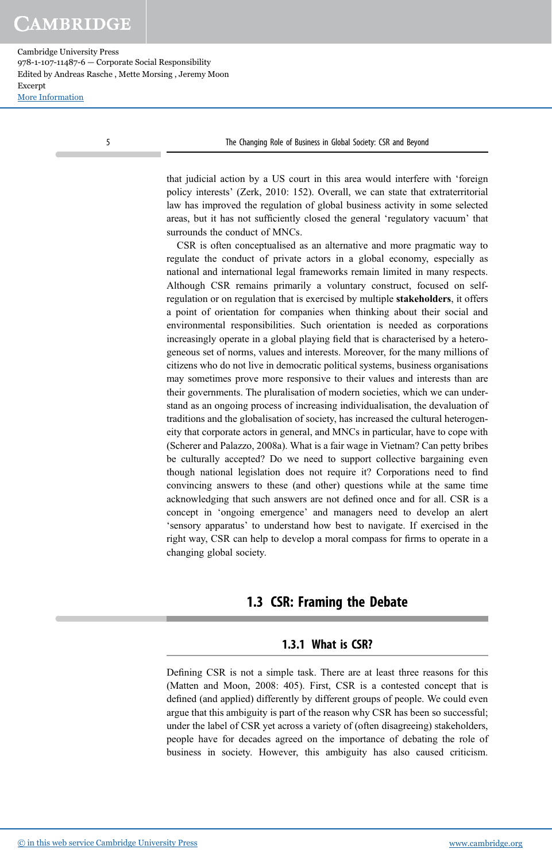Cambridge University Press 978-1-107-11487-6 — Corporate Social Responsibility Edited by Andreas Rasche , Mette Morsing , Jeremy Moon Excerpt [More Information](www.cambridge.org/9781107114876)

5 The Changing Role of Business in Global Society: CSR and Beyond

that judicial action by a US court in this area would interfere with 'foreign policy interests' (Zerk, 2010: 152). Overall, we can state that extraterritorial law has improved the regulation of global business activity in some selected areas, but it has not sufficiently closed the general 'regulatory vacuum' that surrounds the conduct of MNCs.

CSR is often conceptualised as an alternative and more pragmatic way to regulate the conduct of private actors in a global economy, especially as national and international legal frameworks remain limited in many respects. Although CSR remains primarily a voluntary construct, focused on selfregulation or on regulation that is exercised by multiple stakeholders, it offers a point of orientation for companies when thinking about their social and environmental responsibilities. Such orientation is needed as corporations increasingly operate in a global playing field that is characterised by a heterogeneous set of norms, values and interests. Moreover, for the many millions of citizens who do not live in democratic political systems, business organisations may sometimes prove more responsive to their values and interests than are their governments. The pluralisation of modern societies, which we can understand as an ongoing process of increasing individualisation, the devaluation of traditions and the globalisation of society, has increased the cultural heterogeneity that corporate actors in general, and MNCs in particular, have to cope with (Scherer and Palazzo, 2008a). What is a fair wage in Vietnam? Can petty bribes be culturally accepted? Do we need to support collective bargaining even though national legislation does not require it? Corporations need to find convincing answers to these (and other) questions while at the same time acknowledging that such answers are not defined once and for all. CSR is a concept in 'ongoing emergence' and managers need to develop an alert 'sensory apparatus' to understand how best to navigate. If exercised in the right way, CSR can help to develop a moral compass for firms to operate in a changing global society.

### 1.3 CSR: Framing the Debate

#### 1.3.1 What is CSR?

Defining CSR is not a simple task. There are at least three reasons for this (Matten and Moon, 2008: 405). First, CSR is a contested concept that is defined (and applied) differently by different groups of people. We could even argue that this ambiguity is part of the reason why CSR has been so successful; under the label of CSR yet across a variety of (often disagreeing) stakeholders, people have for decades agreed on the importance of debating the role of business in society. However, this ambiguity has also caused criticism.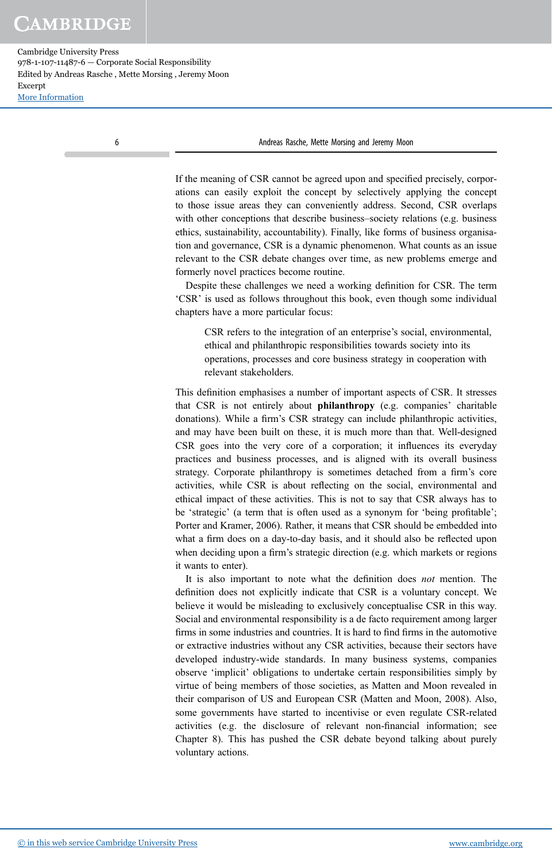Cambridge University Press 978-1-107-11487-6 — Corporate Social Responsibility Edited by Andreas Rasche , Mette Morsing , Jeremy Moon Excerpt [More Information](www.cambridge.org/9781107114876)

6 Andreas Rasche, Mette Morsing and Jeremy Moon

If the meaning of CSR cannot be agreed upon and specified precisely, corporations can easily exploit the concept by selectively applying the concept to those issue areas they can conveniently address. Second, CSR overlaps with other conceptions that describe business–society relations (e.g. business ethics, sustainability, accountability). Finally, like forms of business organisation and governance, CSR is a dynamic phenomenon. What counts as an issue relevant to the CSR debate changes over time, as new problems emerge and formerly novel practices become routine.

Despite these challenges we need a working definition for CSR. The term 'CSR' is used as follows throughout this book, even though some individual chapters have a more particular focus:

CSR refers to the integration of an enterprise's social, environmental, ethical and philanthropic responsibilities towards society into its operations, processes and core business strategy in cooperation with relevant stakeholders.

This definition emphasises a number of important aspects of CSR. It stresses that CSR is not entirely about philanthropy (e.g. companies' charitable donations). While a firm's CSR strategy can include philanthropic activities, and may have been built on these, it is much more than that. Well-designed CSR goes into the very core of a corporation; it influences its everyday practices and business processes, and is aligned with its overall business strategy. Corporate philanthropy is sometimes detached from a firm's core activities, while CSR is about reflecting on the social, environmental and ethical impact of these activities. This is not to say that CSR always has to be 'strategic' (a term that is often used as a synonym for 'being profitable'; Porter and Kramer, 2006). Rather, it means that CSR should be embedded into what a firm does on a day-to-day basis, and it should also be reflected upon when deciding upon a firm's strategic direction (e.g. which markets or regions it wants to enter).

It is also important to note what the definition does not mention. The definition does not explicitly indicate that CSR is a voluntary concept. We believe it would be misleading to exclusively conceptualise CSR in this way. Social and environmental responsibility is a de facto requirement among larger firms in some industries and countries. It is hard to find firms in the automotive or extractive industries without any CSR activities, because their sectors have developed industry-wide standards. In many business systems, companies observe 'implicit' obligations to undertake certain responsibilities simply by virtue of being members of those societies, as Matten and Moon revealed in their comparison of US and European CSR (Matten and Moon, 2008). Also, some governments have started to incentivise or even regulate CSR-related activities (e.g. the disclosure of relevant non-financial information; see Chapter 8). This has pushed the CSR debate beyond talking about purely voluntary actions.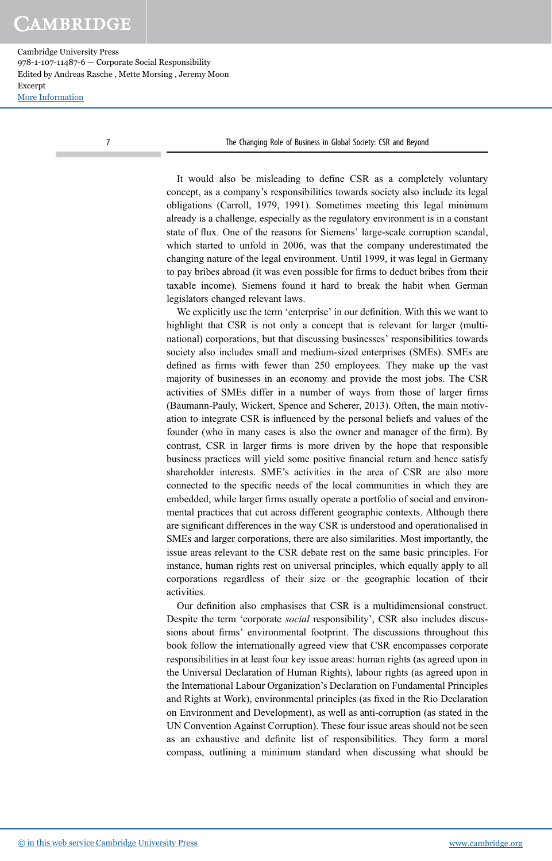Cambridge University Press 978-1-107-11487-6 — Corporate Social Responsibility Edited by Andreas Rasche , Mette Morsing , Jeremy Moon Excerpt [More Information](www.cambridge.org/9781107114876)

7 The Changing Role of Business in Global Society: CSR and Beyond

It would also be misleading to define CSR as a completely voluntary concept, as a company's responsibilities towards society also include its legal obligations (Carroll, 1979, 1991). Sometimes meeting this legal minimum already is a challenge, especially as the regulatory environment is in a constant state of flux. One of the reasons for Siemens' large-scale corruption scandal, which started to unfold in 2006, was that the company underestimated the changing nature of the legal environment. Until 1999, it was legal in Germany to pay bribes abroad (it was even possible for firms to deduct bribes from their taxable income). Siemens found it hard to break the habit when German legislators changed relevant laws.

We explicitly use the term 'enterprise' in our definition. With this we want to highlight that CSR is not only a concept that is relevant for larger (multinational) corporations, but that discussing businesses' responsibilities towards society also includes small and medium-sized enterprises (SMEs). SMEs are defined as firms with fewer than 250 employees. They make up the vast majority of businesses in an economy and provide the most jobs. The CSR activities of SMEs differ in a number of ways from those of larger firms (Baumann-Pauly, Wickert, Spence and Scherer, 2013). Often, the main motivation to integrate CSR is influenced by the personal beliefs and values of the founder (who in many cases is also the owner and manager of the firm). By contrast, CSR in larger firms is more driven by the hope that responsible business practices will yield some positive financial return and hence satisfy shareholder interests. SME's activities in the area of CSR are also more connected to the specific needs of the local communities in which they are embedded, while larger firms usually operate a portfolio of social and environmental practices that cut across different geographic contexts. Although there are significant differences in the way CSR is understood and operationalised in SMEs and larger corporations, there are also similarities. Most importantly, the issue areas relevant to the CSR debate rest on the same basic principles. For instance, human rights rest on universal principles, which equally apply to all corporations regardless of their size or the geographic location of their activities.

Our definition also emphasises that CSR is a multidimensional construct. Despite the term 'corporate social responsibility', CSR also includes discussions about firms' environmental footprint. The discussions throughout this book follow the internationally agreed view that CSR encompasses corporate responsibilities in at least four key issue areas: human rights (as agreed upon in the Universal Declaration of Human Rights), labour rights (as agreed upon in the International Labour Organization's Declaration on Fundamental Principles and Rights at Work), environmental principles (as fixed in the Rio Declaration on Environment and Development), as well as anti-corruption (as stated in the UN Convention Against Corruption). These four issue areas should not be seen as an exhaustive and definite list of responsibilities. They form a moral compass, outlining a minimum standard when discussing what should be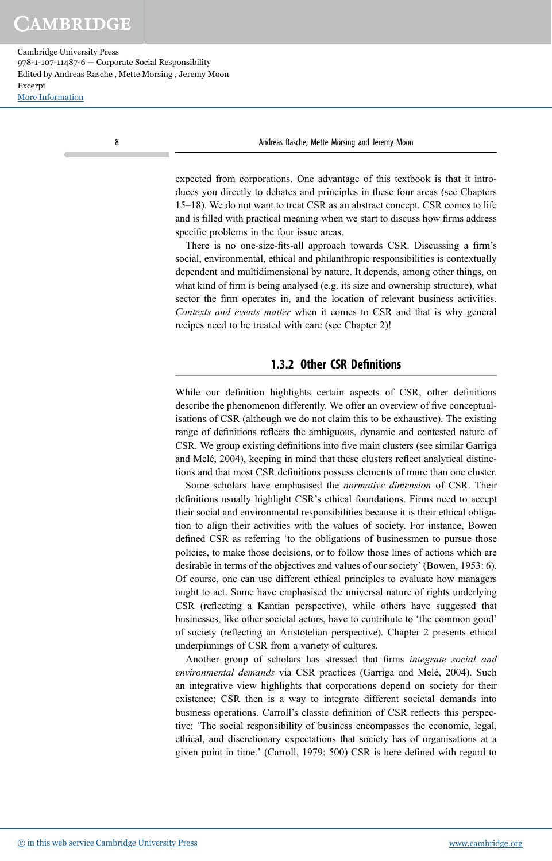Cambridge University Press 978-1-107-11487-6 — Corporate Social Responsibility Edited by Andreas Rasche , Mette Morsing , Jeremy Moon Excerpt [More Information](www.cambridge.org/9781107114876)

8 **Andreas Rasche, Mette Morsing and Jeremy Moon** 

expected from corporations. One advantage of this textbook is that it introduces you directly to debates and principles in these four areas (see Chapters 15–18). We do not want to treat CSR as an abstract concept. CSR comes to life and is filled with practical meaning when we start to discuss how firms address specific problems in the four issue areas.

There is no one-size-fits-all approach towards CSR. Discussing a firm's social, environmental, ethical and philanthropic responsibilities is contextually dependent and multidimensional by nature. It depends, among other things, on what kind of firm is being analysed (e.g. its size and ownership structure), what sector the firm operates in, and the location of relevant business activities. Contexts and events matter when it comes to CSR and that is why general recipes need to be treated with care (see Chapter 2)!

#### 1.3.2 Other CSR Definitions

While our definition highlights certain aspects of CSR, other definitions describe the phenomenon differently. We offer an overview of five conceptualisations of CSR (although we do not claim this to be exhaustive). The existing range of definitions reflects the ambiguous, dynamic and contested nature of CSR. We group existing definitions into five main clusters (see similar Garriga and Melé, 2004), keeping in mind that these clusters reflect analytical distinctions and that most CSR definitions possess elements of more than one cluster.

Some scholars have emphasised the normative dimension of CSR. Their definitions usually highlight CSR's ethical foundations. Firms need to accept their social and environmental responsibilities because it is their ethical obligation to align their activities with the values of society. For instance, Bowen defined CSR as referring 'to the obligations of businessmen to pursue those policies, to make those decisions, or to follow those lines of actions which are desirable in terms of the objectives and values of our society' (Bowen, 1953: 6). Of course, one can use different ethical principles to evaluate how managers ought to act. Some have emphasised the universal nature of rights underlying CSR (reflecting a Kantian perspective), while others have suggested that businesses, like other societal actors, have to contribute to 'the common good' of society (reflecting an Aristotelian perspective). Chapter 2 presents ethical underpinnings of CSR from a variety of cultures.

Another group of scholars has stressed that firms integrate social and environmental demands via CSR practices (Garriga and Melé, 2004). Such an integrative view highlights that corporations depend on society for their existence; CSR then is a way to integrate different societal demands into business operations. Carroll's classic definition of CSR reflects this perspective: 'The social responsibility of business encompasses the economic, legal, ethical, and discretionary expectations that society has of organisations at a given point in time.' (Carroll, 1979: 500) CSR is here defined with regard to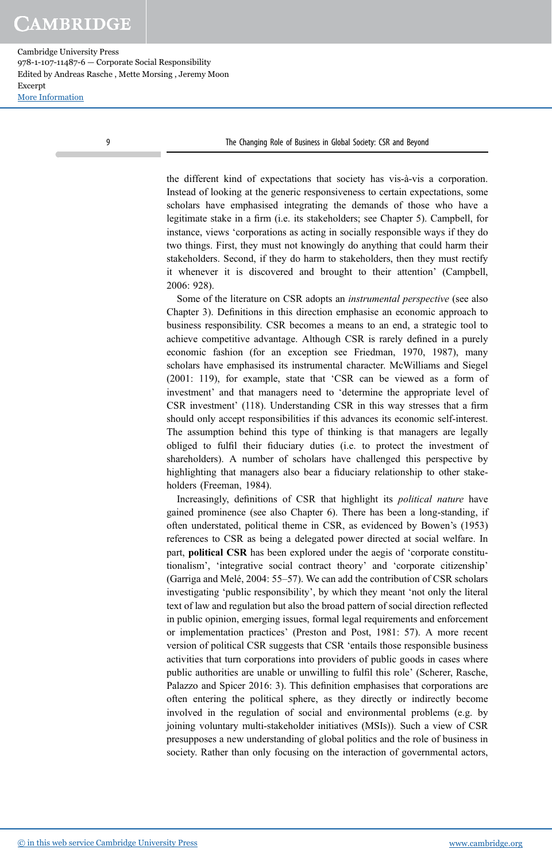Cambridge University Press 978-1-107-11487-6 — Corporate Social Responsibility Edited by Andreas Rasche , Mette Morsing , Jeremy Moon Excerpt [More Information](www.cambridge.org/9781107114876)

9 The Changing Role of Business in Global Society: CSR and Beyond

the different kind of expectations that society has vis-à-vis a corporation. Instead of looking at the generic responsiveness to certain expectations, some scholars have emphasised integrating the demands of those who have a legitimate stake in a firm (i.e. its stakeholders; see Chapter 5). Campbell, for instance, views 'corporations as acting in socially responsible ways if they do two things. First, they must not knowingly do anything that could harm their stakeholders. Second, if they do harm to stakeholders, then they must rectify it whenever it is discovered and brought to their attention' (Campbell, 2006: 928).

Some of the literature on CSR adopts an instrumental perspective (see also Chapter 3). Definitions in this direction emphasise an economic approach to business responsibility. CSR becomes a means to an end, a strategic tool to achieve competitive advantage. Although CSR is rarely defined in a purely economic fashion (for an exception see Friedman, 1970, 1987), many scholars have emphasised its instrumental character. McWilliams and Siegel (2001: 119), for example, state that 'CSR can be viewed as a form of investment' and that managers need to 'determine the appropriate level of CSR investment' (118). Understanding CSR in this way stresses that a firm should only accept responsibilities if this advances its economic self-interest. The assumption behind this type of thinking is that managers are legally obliged to fulfil their fiduciary duties (i.e. to protect the investment of shareholders). A number of scholars have challenged this perspective by highlighting that managers also bear a fiduciary relationship to other stakeholders (Freeman, 1984).

Increasingly, definitions of CSR that highlight its political nature have gained prominence (see also Chapter 6). There has been a long-standing, if often understated, political theme in CSR, as evidenced by Bowen's (1953) references to CSR as being a delegated power directed at social welfare. In part, political CSR has been explored under the aegis of 'corporate constitutionalism', 'integrative social contract theory' and 'corporate citizenship' (Garriga and Melé, 2004: 55–57). We can add the contribution of CSR scholars investigating 'public responsibility', by which they meant 'not only the literal text of law and regulation but also the broad pattern of social direction reflected in public opinion, emerging issues, formal legal requirements and enforcement or implementation practices' (Preston and Post, 1981: 57). A more recent version of political CSR suggests that CSR 'entails those responsible business activities that turn corporations into providers of public goods in cases where public authorities are unable or unwilling to fulfil this role' (Scherer, Rasche, Palazzo and Spicer 2016: 3). This definition emphasises that corporations are often entering the political sphere, as they directly or indirectly become involved in the regulation of social and environmental problems (e.g. by joining voluntary multi-stakeholder initiatives (MSIs)). Such a view of CSR presupposes a new understanding of global politics and the role of business in society. Rather than only focusing on the interaction of governmental actors,